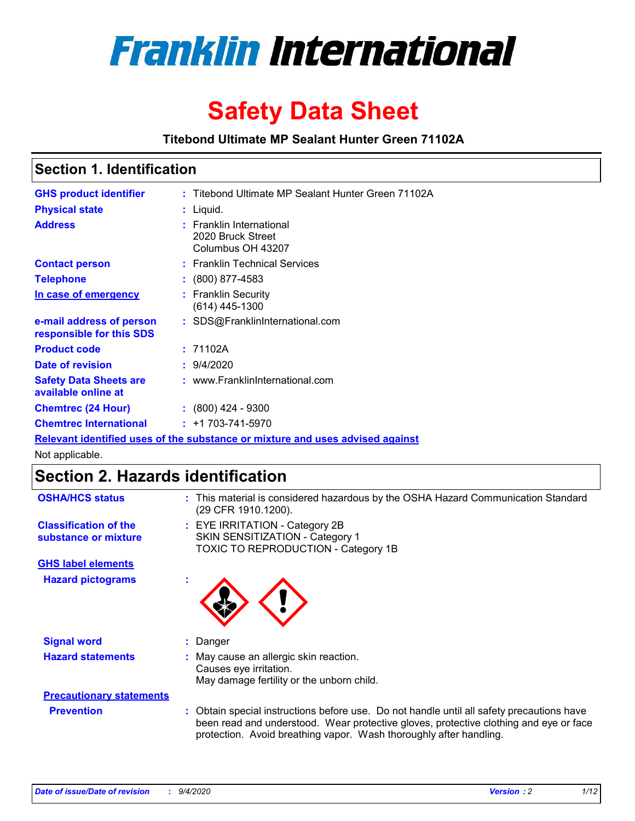

# **Safety Data Sheet**

**Titebond Ultimate MP Sealant Hunter Green 71102A**

### **Section 1. Identification**

| <b>GHS product identifier</b>                        | : Titebond Ultimate MP Sealant Hunter Green 71102A                            |
|------------------------------------------------------|-------------------------------------------------------------------------------|
| <b>Physical state</b>                                | $:$ Liquid.                                                                   |
| <b>Address</b>                                       | : Franklin International<br>2020 Bruck Street<br>Columbus OH 43207            |
| <b>Contact person</b>                                | : Franklin Technical Services                                                 |
| <b>Telephone</b>                                     | $\div$ (800) 877-4583                                                         |
| In case of emergency                                 | : Franklin Security<br>(614) 445-1300                                         |
| e-mail address of person<br>responsible for this SDS | : SDS@FranklinInternational.com                                               |
| <b>Product code</b>                                  | : 71102A                                                                      |
| Date of revision                                     | 9/4/2020                                                                      |
| <b>Safety Data Sheets are</b><br>available online at | : www.FranklinInternational.com                                               |
| <b>Chemtrec (24 Hour)</b>                            | $\div$ (800) 424 - 9300                                                       |
| <b>Chemtrec International</b>                        | $: +1703 - 741 - 5970$                                                        |
|                                                      | Relevant identified uses of the substance or mixture and uses advised against |

Not applicable.

## **Section 2. Hazards identification**

| <b>OSHA/HCS status</b>                               |    | : This material is considered hazardous by the OSHA Hazard Communication Standard<br>(29 CFR 1910.1200).                                                                                                                                                 |
|------------------------------------------------------|----|----------------------------------------------------------------------------------------------------------------------------------------------------------------------------------------------------------------------------------------------------------|
| <b>Classification of the</b><br>substance or mixture |    | : EYE IRRITATION - Category 2B<br>SKIN SENSITIZATION - Category 1<br>TOXIC TO REPRODUCTION - Category 1B                                                                                                                                                 |
| <b>GHS label elements</b>                            |    |                                                                                                                                                                                                                                                          |
| <b>Hazard pictograms</b>                             | ٠  |                                                                                                                                                                                                                                                          |
| <b>Signal word</b>                                   | ÷. | Danger                                                                                                                                                                                                                                                   |
| <b>Hazard statements</b>                             |    | May cause an allergic skin reaction.<br>Causes eye irritation.<br>May damage fertility or the unborn child.                                                                                                                                              |
| <b>Precautionary statements</b>                      |    |                                                                                                                                                                                                                                                          |
| <b>Prevention</b>                                    |    | : Obtain special instructions before use. Do not handle until all safety precautions have<br>been read and understood. Wear protective gloves, protective clothing and eye or face<br>protection. Avoid breathing vapor. Wash thoroughly after handling. |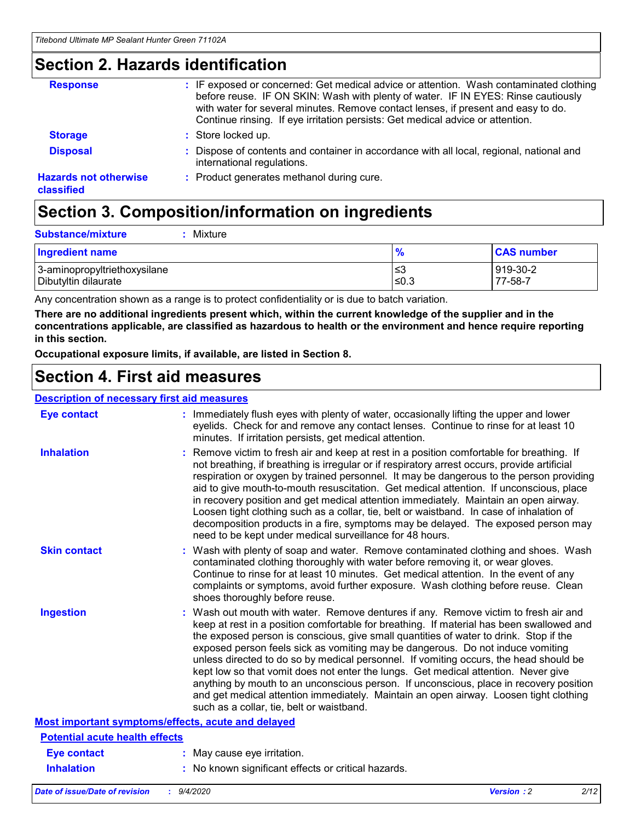### **Section 2. Hazards identification**

| <b>Response</b>                            | : IF exposed or concerned: Get medical advice or attention. Wash contaminated clothing<br>before reuse. IF ON SKIN: Wash with plenty of water. IF IN EYES: Rinse cautiously<br>with water for several minutes. Remove contact lenses, if present and easy to do.<br>Continue rinsing. If eye irritation persists: Get medical advice or attention. |
|--------------------------------------------|----------------------------------------------------------------------------------------------------------------------------------------------------------------------------------------------------------------------------------------------------------------------------------------------------------------------------------------------------|
| <b>Storage</b>                             | : Store locked up.                                                                                                                                                                                                                                                                                                                                 |
| <b>Disposal</b>                            | : Dispose of contents and container in accordance with all local, regional, national and<br>international regulations.                                                                                                                                                                                                                             |
| <b>Hazards not otherwise</b><br>classified | : Product generates methanol during cure.                                                                                                                                                                                                                                                                                                          |

## **Section 3. Composition/information on ingredients**

| <b>Ingredient name</b>       | $\frac{9}{6}$ | <b>CAS number</b> |
|------------------------------|---------------|-------------------|
| 3-aminopropyltriethoxysilane | ≤3            | 919-30-2          |
| Dibutyltin dilaurate         | ∣≤0.3         | 77-58-7           |

Any concentration shown as a range is to protect confidentiality or is due to batch variation.

**There are no additional ingredients present which, within the current knowledge of the supplier and in the concentrations applicable, are classified as hazardous to health or the environment and hence require reporting in this section.**

**Occupational exposure limits, if available, are listed in Section 8.**

### **Section 4. First aid measures**

| <b>Description of necessary first aid measures</b> |                                                                                                                                                                                                                                                                                                                                                                                                                                                                                                                                                                                                                                                                                                                                                                           |
|----------------------------------------------------|---------------------------------------------------------------------------------------------------------------------------------------------------------------------------------------------------------------------------------------------------------------------------------------------------------------------------------------------------------------------------------------------------------------------------------------------------------------------------------------------------------------------------------------------------------------------------------------------------------------------------------------------------------------------------------------------------------------------------------------------------------------------------|
| <b>Eye contact</b>                                 | : Immediately flush eyes with plenty of water, occasionally lifting the upper and lower<br>eyelids. Check for and remove any contact lenses. Continue to rinse for at least 10<br>minutes. If irritation persists, get medical attention.                                                                                                                                                                                                                                                                                                                                                                                                                                                                                                                                 |
| <b>Inhalation</b>                                  | : Remove victim to fresh air and keep at rest in a position comfortable for breathing. If<br>not breathing, if breathing is irregular or if respiratory arrest occurs, provide artificial<br>respiration or oxygen by trained personnel. It may be dangerous to the person providing<br>aid to give mouth-to-mouth resuscitation. Get medical attention. If unconscious, place<br>in recovery position and get medical attention immediately. Maintain an open airway.<br>Loosen tight clothing such as a collar, tie, belt or waistband. In case of inhalation of<br>decomposition products in a fire, symptoms may be delayed. The exposed person may<br>need to be kept under medical surveillance for 48 hours.                                                       |
| <b>Skin contact</b>                                | : Wash with plenty of soap and water. Remove contaminated clothing and shoes. Wash<br>contaminated clothing thoroughly with water before removing it, or wear gloves.<br>Continue to rinse for at least 10 minutes. Get medical attention. In the event of any<br>complaints or symptoms, avoid further exposure. Wash clothing before reuse. Clean<br>shoes thoroughly before reuse.                                                                                                                                                                                                                                                                                                                                                                                     |
| <b>Ingestion</b>                                   | : Wash out mouth with water. Remove dentures if any. Remove victim to fresh air and<br>keep at rest in a position comfortable for breathing. If material has been swallowed and<br>the exposed person is conscious, give small quantities of water to drink. Stop if the<br>exposed person feels sick as vomiting may be dangerous. Do not induce vomiting<br>unless directed to do so by medical personnel. If vomiting occurs, the head should be<br>kept low so that vomit does not enter the lungs. Get medical attention. Never give<br>anything by mouth to an unconscious person. If unconscious, place in recovery position<br>and get medical attention immediately. Maintain an open airway. Loosen tight clothing<br>such as a collar, tie, belt or waistband. |
| Most important symptoms/effects, acute and delayed |                                                                                                                                                                                                                                                                                                                                                                                                                                                                                                                                                                                                                                                                                                                                                                           |
| <b>Potential acute health effects</b>              |                                                                                                                                                                                                                                                                                                                                                                                                                                                                                                                                                                                                                                                                                                                                                                           |
| <b>Eye contact</b>                                 | : May cause eye irritation.                                                                                                                                                                                                                                                                                                                                                                                                                                                                                                                                                                                                                                                                                                                                               |
| <b>Inhalation</b>                                  | : No known significant effects or critical hazards.                                                                                                                                                                                                                                                                                                                                                                                                                                                                                                                                                                                                                                                                                                                       |
|                                                    |                                                                                                                                                                                                                                                                                                                                                                                                                                                                                                                                                                                                                                                                                                                                                                           |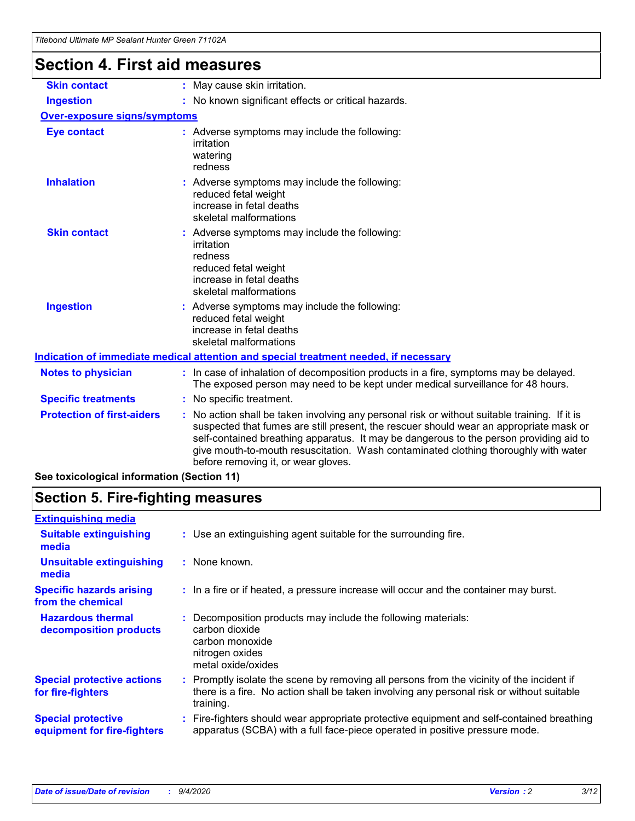### **Section 4. First aid measures**

| <b>Skin contact</b>                 | : May cause skin irritation.                                                                                                                                                                                                                                                                                                                                                                                    |
|-------------------------------------|-----------------------------------------------------------------------------------------------------------------------------------------------------------------------------------------------------------------------------------------------------------------------------------------------------------------------------------------------------------------------------------------------------------------|
| <b>Ingestion</b>                    | : No known significant effects or critical hazards.                                                                                                                                                                                                                                                                                                                                                             |
| <b>Over-exposure signs/symptoms</b> |                                                                                                                                                                                                                                                                                                                                                                                                                 |
| <b>Eye contact</b>                  | : Adverse symptoms may include the following:<br>irritation<br>watering<br>redness                                                                                                                                                                                                                                                                                                                              |
| <b>Inhalation</b>                   | : Adverse symptoms may include the following:<br>reduced fetal weight<br>increase in fetal deaths<br>skeletal malformations                                                                                                                                                                                                                                                                                     |
| <b>Skin contact</b>                 | : Adverse symptoms may include the following:<br>irritation<br>redness<br>reduced fetal weight<br>increase in fetal deaths<br>skeletal malformations                                                                                                                                                                                                                                                            |
| <b>Ingestion</b>                    | : Adverse symptoms may include the following:<br>reduced fetal weight<br>increase in fetal deaths<br>skeletal malformations                                                                                                                                                                                                                                                                                     |
|                                     | <u>Indication of immediate medical attention and special treatment needed, if necessary</u>                                                                                                                                                                                                                                                                                                                     |
| <b>Notes to physician</b>           | : In case of inhalation of decomposition products in a fire, symptoms may be delayed.<br>The exposed person may need to be kept under medical surveillance for 48 hours.                                                                                                                                                                                                                                        |
| <b>Specific treatments</b>          | : No specific treatment.                                                                                                                                                                                                                                                                                                                                                                                        |
| <b>Protection of first-aiders</b>   | : No action shall be taken involving any personal risk or without suitable training. If it is<br>suspected that fumes are still present, the rescuer should wear an appropriate mask or<br>self-contained breathing apparatus. It may be dangerous to the person providing aid to<br>give mouth-to-mouth resuscitation. Wash contaminated clothing thoroughly with water<br>before removing it, or wear gloves. |

**See toxicological information (Section 11)**

## **Section 5. Fire-fighting measures**

| <b>Extinguishing media</b>                               |                                                                                                                                                                                                     |
|----------------------------------------------------------|-----------------------------------------------------------------------------------------------------------------------------------------------------------------------------------------------------|
| <b>Suitable extinguishing</b><br>media                   | : Use an extinguishing agent suitable for the surrounding fire.                                                                                                                                     |
| <b>Unsuitable extinguishing</b><br>media                 | : None known.                                                                                                                                                                                       |
| <b>Specific hazards arising</b><br>from the chemical     | : In a fire or if heated, a pressure increase will occur and the container may burst.                                                                                                               |
| <b>Hazardous thermal</b><br>decomposition products       | : Decomposition products may include the following materials:<br>carbon dioxide<br>carbon monoxide<br>nitrogen oxides<br>metal oxide/oxides                                                         |
| <b>Special protective actions</b><br>for fire-fighters   | : Promptly isolate the scene by removing all persons from the vicinity of the incident if<br>there is a fire. No action shall be taken involving any personal risk or without suitable<br>training. |
| <b>Special protective</b><br>equipment for fire-fighters | Fire-fighters should wear appropriate protective equipment and self-contained breathing<br>apparatus (SCBA) with a full face-piece operated in positive pressure mode.                              |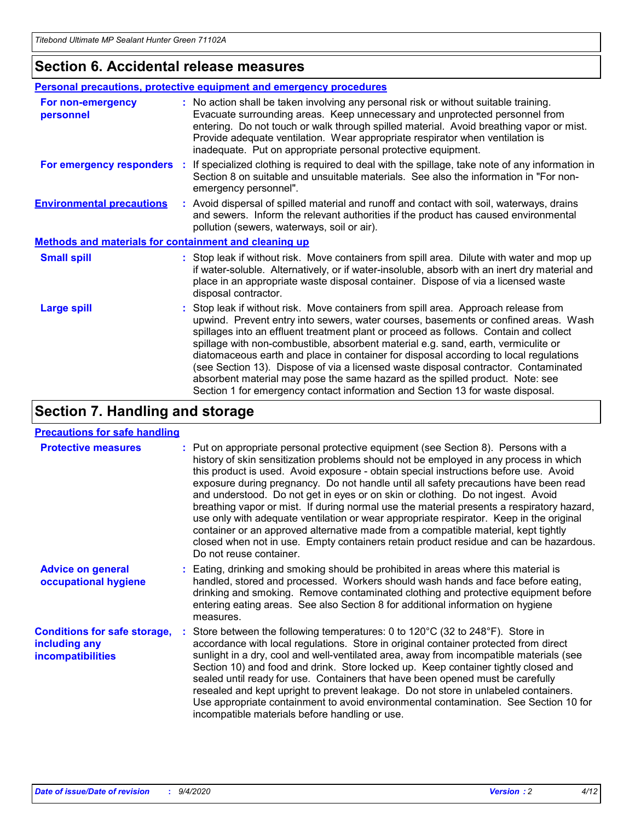### **Section 6. Accidental release measures**

|                                                              | <b>Personal precautions, protective equipment and emergency procedures</b>                                                                                                                                                                                                                                                                                                                                                                                                                                                                                                                                                                                                                                   |
|--------------------------------------------------------------|--------------------------------------------------------------------------------------------------------------------------------------------------------------------------------------------------------------------------------------------------------------------------------------------------------------------------------------------------------------------------------------------------------------------------------------------------------------------------------------------------------------------------------------------------------------------------------------------------------------------------------------------------------------------------------------------------------------|
| For non-emergency<br>personnel                               | : No action shall be taken involving any personal risk or without suitable training.<br>Evacuate surrounding areas. Keep unnecessary and unprotected personnel from<br>entering. Do not touch or walk through spilled material. Avoid breathing vapor or mist.<br>Provide adequate ventilation. Wear appropriate respirator when ventilation is<br>inadequate. Put on appropriate personal protective equipment.                                                                                                                                                                                                                                                                                             |
| For emergency responders                                     | : If specialized clothing is required to deal with the spillage, take note of any information in<br>Section 8 on suitable and unsuitable materials. See also the information in "For non-<br>emergency personnel".                                                                                                                                                                                                                                                                                                                                                                                                                                                                                           |
| <b>Environmental precautions</b>                             | : Avoid dispersal of spilled material and runoff and contact with soil, waterways, drains<br>and sewers. Inform the relevant authorities if the product has caused environmental<br>pollution (sewers, waterways, soil or air).                                                                                                                                                                                                                                                                                                                                                                                                                                                                              |
| <b>Methods and materials for containment and cleaning up</b> |                                                                                                                                                                                                                                                                                                                                                                                                                                                                                                                                                                                                                                                                                                              |
| <b>Small spill</b>                                           | : Stop leak if without risk. Move containers from spill area. Dilute with water and mop up<br>if water-soluble. Alternatively, or if water-insoluble, absorb with an inert dry material and<br>place in an appropriate waste disposal container. Dispose of via a licensed waste<br>disposal contractor.                                                                                                                                                                                                                                                                                                                                                                                                     |
| <b>Large spill</b>                                           | : Stop leak if without risk. Move containers from spill area. Approach release from<br>upwind. Prevent entry into sewers, water courses, basements or confined areas. Wash<br>spillages into an effluent treatment plant or proceed as follows. Contain and collect<br>spillage with non-combustible, absorbent material e.g. sand, earth, vermiculite or<br>diatomaceous earth and place in container for disposal according to local regulations<br>(see Section 13). Dispose of via a licensed waste disposal contractor. Contaminated<br>absorbent material may pose the same hazard as the spilled product. Note: see<br>Section 1 for emergency contact information and Section 13 for waste disposal. |

## **Section 7. Handling and storage**

#### **Precautions for safe handling**

| <b>Protective measures</b>                                                       | : Put on appropriate personal protective equipment (see Section 8). Persons with a<br>history of skin sensitization problems should not be employed in any process in which<br>this product is used. Avoid exposure - obtain special instructions before use. Avoid<br>exposure during pregnancy. Do not handle until all safety precautions have been read<br>and understood. Do not get in eyes or on skin or clothing. Do not ingest. Avoid<br>breathing vapor or mist. If during normal use the material presents a respiratory hazard,<br>use only with adequate ventilation or wear appropriate respirator. Keep in the original<br>container or an approved alternative made from a compatible material, kept tightly<br>closed when not in use. Empty containers retain product residue and can be hazardous.<br>Do not reuse container. |
|----------------------------------------------------------------------------------|--------------------------------------------------------------------------------------------------------------------------------------------------------------------------------------------------------------------------------------------------------------------------------------------------------------------------------------------------------------------------------------------------------------------------------------------------------------------------------------------------------------------------------------------------------------------------------------------------------------------------------------------------------------------------------------------------------------------------------------------------------------------------------------------------------------------------------------------------|
| <b>Advice on general</b><br>occupational hygiene                                 | : Eating, drinking and smoking should be prohibited in areas where this material is<br>handled, stored and processed. Workers should wash hands and face before eating,<br>drinking and smoking. Remove contaminated clothing and protective equipment before<br>entering eating areas. See also Section 8 for additional information on hygiene<br>measures.                                                                                                                                                                                                                                                                                                                                                                                                                                                                                    |
| <b>Conditions for safe storage,</b><br>including any<br><i>incompatibilities</i> | Store between the following temperatures: 0 to 120°C (32 to 248°F). Store in<br>accordance with local regulations. Store in original container protected from direct<br>sunlight in a dry, cool and well-ventilated area, away from incompatible materials (see<br>Section 10) and food and drink. Store locked up. Keep container tightly closed and<br>sealed until ready for use. Containers that have been opened must be carefully<br>resealed and kept upright to prevent leakage. Do not store in unlabeled containers.<br>Use appropriate containment to avoid environmental contamination. See Section 10 for<br>incompatible materials before handling or use.                                                                                                                                                                         |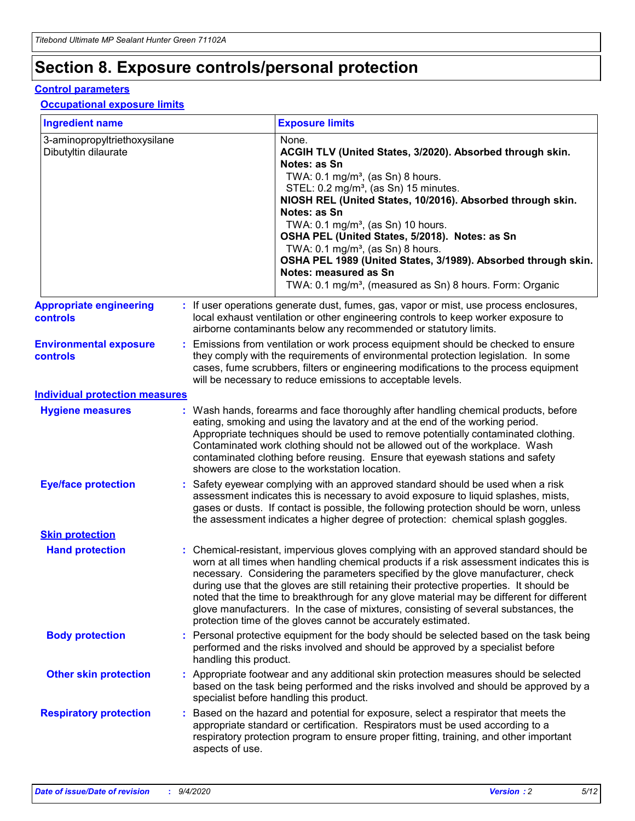## **Section 8. Exposure controls/personal protection**

#### **Control parameters**

#### **Occupational exposure limits**

| <b>Ingredient name</b>                               |                        | <b>Exposure limits</b>                                                                                                                                                                                                                                                                                                                                                                                                                                                                                                                                                                                                 |
|------------------------------------------------------|------------------------|------------------------------------------------------------------------------------------------------------------------------------------------------------------------------------------------------------------------------------------------------------------------------------------------------------------------------------------------------------------------------------------------------------------------------------------------------------------------------------------------------------------------------------------------------------------------------------------------------------------------|
| 3-aminopropyltriethoxysilane<br>Dibutyltin dilaurate |                        | None.<br>ACGIH TLV (United States, 3/2020). Absorbed through skin.<br>Notes: as Sn<br>TWA: 0.1 mg/m <sup>3</sup> , (as Sn) 8 hours.<br>STEL: 0.2 mg/m <sup>3</sup> , (as Sn) 15 minutes.<br>NIOSH REL (United States, 10/2016). Absorbed through skin.<br>Notes: as Sn<br>TWA: 0.1 mg/m <sup>3</sup> , (as Sn) 10 hours.<br>OSHA PEL (United States, 5/2018). Notes: as Sn<br>TWA: $0.1 \text{ mg/m}^3$ , (as Sn) 8 hours.<br>OSHA PEL 1989 (United States, 3/1989). Absorbed through skin.<br>Notes: measured as Sn<br>TWA: 0.1 mg/m <sup>3</sup> , (measured as Sn) 8 hours. Form: Organic                           |
| <b>Appropriate engineering</b><br><b>controls</b>    |                        | : If user operations generate dust, fumes, gas, vapor or mist, use process enclosures,<br>local exhaust ventilation or other engineering controls to keep worker exposure to<br>airborne contaminants below any recommended or statutory limits.                                                                                                                                                                                                                                                                                                                                                                       |
| <b>Environmental exposure</b><br><b>controls</b>     |                        | Emissions from ventilation or work process equipment should be checked to ensure<br>they comply with the requirements of environmental protection legislation. In some<br>cases, fume scrubbers, filters or engineering modifications to the process equipment<br>will be necessary to reduce emissions to acceptable levels.                                                                                                                                                                                                                                                                                          |
| <b>Individual protection measures</b>                |                        |                                                                                                                                                                                                                                                                                                                                                                                                                                                                                                                                                                                                                        |
| <b>Hygiene measures</b>                              |                        | : Wash hands, forearms and face thoroughly after handling chemical products, before<br>eating, smoking and using the lavatory and at the end of the working period.<br>Appropriate techniques should be used to remove potentially contaminated clothing.<br>Contaminated work clothing should not be allowed out of the workplace. Wash<br>contaminated clothing before reusing. Ensure that eyewash stations and safety<br>showers are close to the workstation location.                                                                                                                                            |
| <b>Eye/face protection</b>                           |                        | : Safety eyewear complying with an approved standard should be used when a risk<br>assessment indicates this is necessary to avoid exposure to liquid splashes, mists,<br>gases or dusts. If contact is possible, the following protection should be worn, unless<br>the assessment indicates a higher degree of protection: chemical splash goggles.                                                                                                                                                                                                                                                                  |
| <b>Skin protection</b>                               |                        |                                                                                                                                                                                                                                                                                                                                                                                                                                                                                                                                                                                                                        |
| <b>Hand protection</b>                               |                        | : Chemical-resistant, impervious gloves complying with an approved standard should be<br>worn at all times when handling chemical products if a risk assessment indicates this is<br>necessary. Considering the parameters specified by the glove manufacturer, check<br>during use that the gloves are still retaining their protective properties. It should be<br>noted that the time to breakthrough for any glove material may be different for different<br>glove manufacturers. In the case of mixtures, consisting of several substances, the<br>protection time of the gloves cannot be accurately estimated. |
| <b>Body protection</b>                               | handling this product. | : Personal protective equipment for the body should be selected based on the task being<br>performed and the risks involved and should be approved by a specialist before                                                                                                                                                                                                                                                                                                                                                                                                                                              |
| <b>Other skin protection</b>                         |                        | : Appropriate footwear and any additional skin protection measures should be selected<br>based on the task being performed and the risks involved and should be approved by a<br>specialist before handling this product.                                                                                                                                                                                                                                                                                                                                                                                              |
| <b>Respiratory protection</b>                        | aspects of use.        | : Based on the hazard and potential for exposure, select a respirator that meets the<br>appropriate standard or certification. Respirators must be used according to a<br>respiratory protection program to ensure proper fitting, training, and other important                                                                                                                                                                                                                                                                                                                                                       |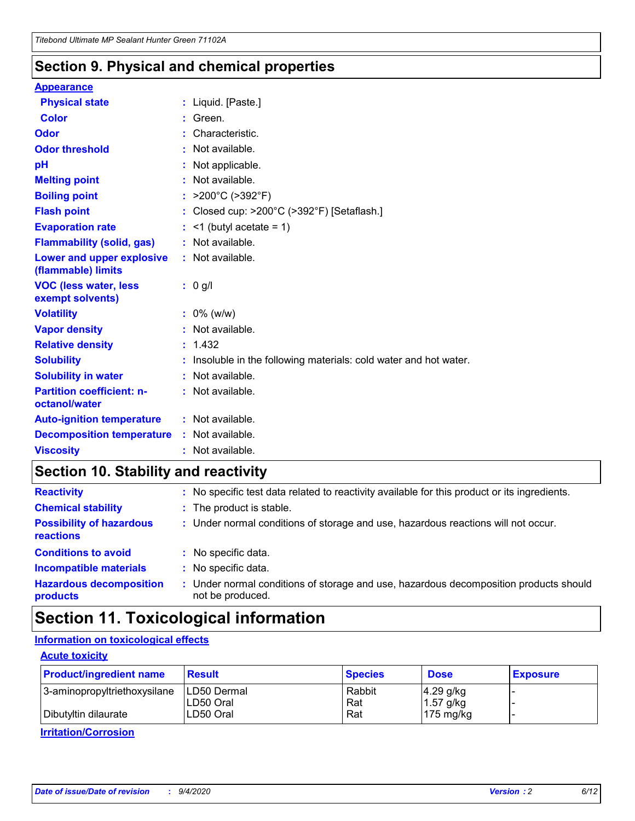### **Section 9. Physical and chemical properties**

#### **Appearance**

| <b>Physical state</b>                            | : Liquid. [Paste.]                                              |
|--------------------------------------------------|-----------------------------------------------------------------|
| Color                                            | Green.                                                          |
| Odor                                             | : Characteristic.                                               |
| <b>Odor threshold</b>                            | : Not available.                                                |
| рH                                               | : Not applicable.                                               |
| <b>Melting point</b>                             | : Not available.                                                |
| <b>Boiling point</b>                             | : $>200^{\circ}$ C ( $>392^{\circ}$ F)                          |
| <b>Flash point</b>                               | : Closed cup: >200°C (>392°F) [Setaflash.]                      |
| <b>Evaporation rate</b>                          | $:$ <1 (butyl acetate = 1)                                      |
| <b>Flammability (solid, gas)</b>                 | : Not available.                                                |
| Lower and upper explosive<br>(flammable) limits  | $:$ Not available.                                              |
| <b>VOC (less water, less</b><br>exempt solvents) | : 0 g/l                                                         |
| <b>Volatility</b>                                | $: 0\%$ (w/w)                                                   |
| <b>Vapor density</b>                             | : Not available.                                                |
| <b>Relative density</b>                          | : 1.432                                                         |
| <b>Solubility</b>                                | Insoluble in the following materials: cold water and hot water. |
| <b>Solubility in water</b>                       | : Not available.                                                |
| <b>Partition coefficient: n-</b>                 | $:$ Not available.                                              |
| octanol/water                                    |                                                                 |
| <b>Auto-ignition temperature</b>                 | : Not available.                                                |
| <b>Decomposition temperature</b>                 | : Not available.                                                |

## **Section 10. Stability and reactivity**

| <b>Reactivity</b>                            | : No specific test data related to reactivity available for this product or its ingredients.            |
|----------------------------------------------|---------------------------------------------------------------------------------------------------------|
| <b>Chemical stability</b>                    | : The product is stable.                                                                                |
| <b>Possibility of hazardous</b><br>reactions | : Under normal conditions of storage and use, hazardous reactions will not occur.                       |
| <b>Conditions to avoid</b>                   | : No specific data.                                                                                     |
| <b>Incompatible materials</b>                | : No specific data.                                                                                     |
| <b>Hazardous decomposition</b><br>products   | Under normal conditions of storage and use, hazardous decomposition products should<br>not be produced. |

## **Section 11. Toxicological information**

#### **Information on toxicological effects**

#### **Acute toxicity**

| <b>Product/ingredient name</b> | <b>Result</b>           | <b>Species</b> | <b>Dose</b>                | <b>Exposure</b> |
|--------------------------------|-------------------------|----------------|----------------------------|-----------------|
| 3-aminopropyltriethoxysilane   | <b>ILD50 Dermal</b>     | Rabbit         | 4.29 g/kg                  |                 |
| Dibutyltin dilaurate           | ILD50 Oral<br>LD50 Oral | Rat<br>Rat     | $1.57$ g/kg<br>175 $mg/kg$ |                 |
|                                |                         |                |                            |                 |

**Irritation/Corrosion**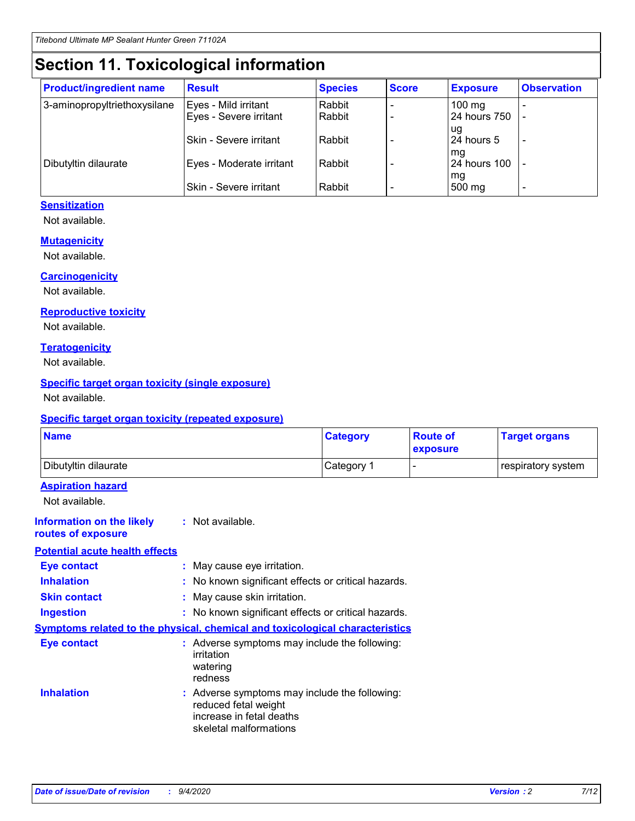## **Section 11. Toxicological information**

| <b>Product/ingredient name</b> | <b>Result</b>            | <b>Species</b> | <b>Score</b> | <b>Exposure</b>           | <b>Observation</b> |
|--------------------------------|--------------------------|----------------|--------------|---------------------------|--------------------|
| 3-aminopropyltriethoxysilane   | Eyes - Mild irritant     | Rabbit         |              | $100$ mg                  |                    |
|                                | Eyes - Severe irritant   | Rabbit         |              | 24 hours 750              |                    |
|                                |                          |                |              | ug                        |                    |
|                                | Skin - Severe irritant   | Rabbit         |              | 24 hours 5                | -                  |
| Dibutyltin dilaurate           | Eyes - Moderate irritant | Rabbit         |              | mq<br><b>24 hours 100</b> |                    |
|                                |                          |                |              | mg                        |                    |
|                                | Skin - Severe irritant   | Rabbit         |              | 500 mg                    |                    |

#### **Sensitization**

Not available.

#### **Mutagenicity**

Not available.

#### **Carcinogenicity**

Not available.

#### **Reproductive toxicity**

Not available.

#### **Teratogenicity**

Not available.

#### **Specific target organ toxicity (single exposure)**

Not available.

#### **Specific target organ toxicity (repeated exposure)**

| <b>Name</b>                                                                  |                                                                            | <b>Category</b>                                     | <b>Route of</b><br>exposure | <b>Target organs</b> |
|------------------------------------------------------------------------------|----------------------------------------------------------------------------|-----------------------------------------------------|-----------------------------|----------------------|
| Dibutyltin dilaurate                                                         |                                                                            | Category 1                                          | -                           | respiratory system   |
| <b>Aspiration hazard</b><br>Not available.                                   |                                                                            |                                                     |                             |                      |
| <b>Information on the likely</b><br>routes of exposure                       | : Not available.                                                           |                                                     |                             |                      |
| <b>Potential acute health effects</b>                                        |                                                                            |                                                     |                             |                      |
| <b>Eye contact</b>                                                           | : May cause eye irritation.                                                |                                                     |                             |                      |
| <b>Inhalation</b>                                                            |                                                                            | : No known significant effects or critical hazards. |                             |                      |
| <b>Skin contact</b>                                                          | : May cause skin irritation.                                               |                                                     |                             |                      |
| <b>Ingestion</b>                                                             |                                                                            | : No known significant effects or critical hazards. |                             |                      |
| Symptoms related to the physical, chemical and toxicological characteristics |                                                                            |                                                     |                             |                      |
| <b>Eye contact</b>                                                           | irritation<br>watering<br>redness                                          | : Adverse symptoms may include the following:       |                             |                      |
| <b>Inhalation</b>                                                            | reduced fetal weight<br>increase in fetal deaths<br>skeletal malformations | : Adverse symptoms may include the following:       |                             |                      |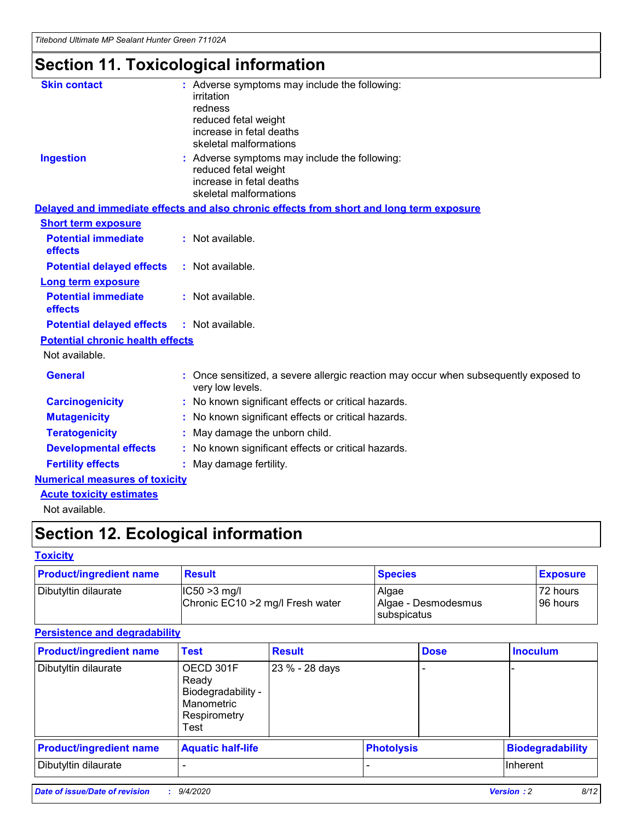*Titebond Ultimate MP Sealant Hunter Green 71102A*

## **Section 11. Toxicological information**

| <b>Skin contact</b>                     | : Adverse symptoms may include the following:                                                          |
|-----------------------------------------|--------------------------------------------------------------------------------------------------------|
|                                         | irritation                                                                                             |
|                                         | redness                                                                                                |
|                                         | reduced fetal weight                                                                                   |
|                                         | increase in fetal deaths                                                                               |
|                                         | skeletal malformations                                                                                 |
| <b>Ingestion</b>                        | : Adverse symptoms may include the following:                                                          |
|                                         | reduced fetal weight                                                                                   |
|                                         | increase in fetal deaths                                                                               |
|                                         | skeletal malformations                                                                                 |
|                                         | Delayed and immediate effects and also chronic effects from short and long term exposure               |
| <b>Short term exposure</b>              |                                                                                                        |
| <b>Potential immediate</b>              | : Not available.                                                                                       |
| effects                                 |                                                                                                        |
| <b>Potential delayed effects</b>        | : Not available.                                                                                       |
| <b>Long term exposure</b>               |                                                                                                        |
| <b>Potential immediate</b>              | : Not available.                                                                                       |
| effects                                 |                                                                                                        |
| <b>Potential delayed effects</b>        | : Not available.                                                                                       |
| <b>Potential chronic health effects</b> |                                                                                                        |
| Not available.                          |                                                                                                        |
| <b>General</b>                          | Once sensitized, a severe allergic reaction may occur when subsequently exposed to<br>very low levels. |
| <b>Carcinogenicity</b>                  | : No known significant effects or critical hazards.                                                    |
| <b>Mutagenicity</b>                     | : No known significant effects or critical hazards.                                                    |
| <b>Teratogenicity</b>                   | May damage the unborn child.                                                                           |
| <b>Developmental effects</b>            | : No known significant effects or critical hazards.                                                    |
| <b>Fertility effects</b>                | : May damage fertility.                                                                                |
| <b>Numerical measures of toxicity</b>   |                                                                                                        |
| <b>Acute toxicity estimates</b>         |                                                                                                        |
| الملمانون والملك                        |                                                                                                        |

Not available.

## **Section 12. Ecological information**

#### **Toxicity**

| <b>Product/ingredient name</b> | <b>Result</b>                                       | <b>Species</b>               | <b>Exposure</b>       |
|--------------------------------|-----------------------------------------------------|------------------------------|-----------------------|
| Dibutyltin dilaurate           | $ CC50>3$ mg/l<br>Chronic EC10 > 2 mg/l Fresh water | Algae<br>Algae - Desmodesmus | 72 hours<br>196 hours |
|                                |                                                     | <b>I</b> subspicatus         |                       |

#### **Persistence and degradability**

| <b>Product/ingredient name</b> | <b>Test</b>                                                                    | <b>Result</b>  |                   | <b>Dose</b> | <b>Inoculum</b>         |
|--------------------------------|--------------------------------------------------------------------------------|----------------|-------------------|-------------|-------------------------|
| Dibutyltin dilaurate           | OECD 301F<br>Ready<br>Biodegradability -<br>Manometric<br>Respirometry<br>Test | 23 % - 28 days |                   |             |                         |
| <b>Product/ingredient name</b> | <b>Aquatic half-life</b>                                                       |                | <b>Photolysis</b> |             | <b>Biodegradability</b> |
| Dibutyltin dilaurate           |                                                                                |                |                   |             | <b>Inherent</b>         |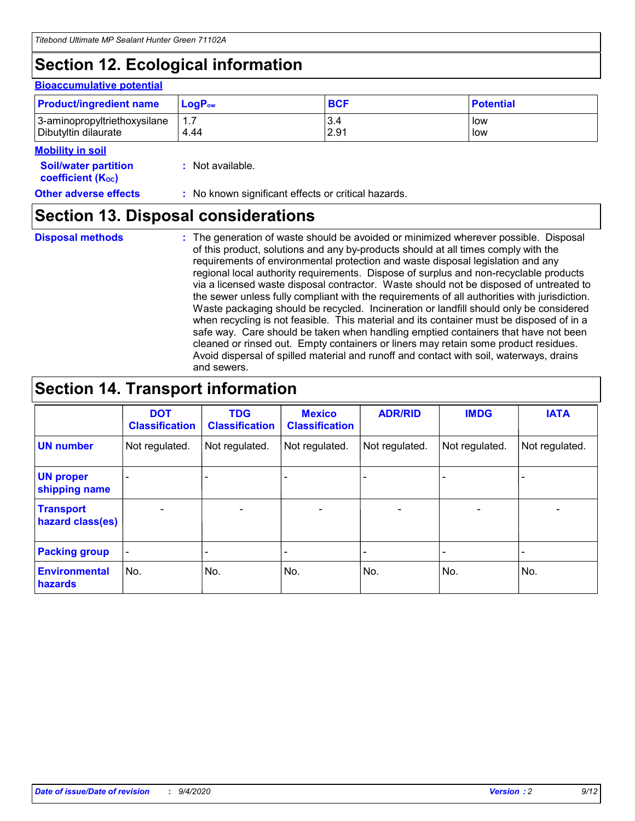## **Section 12. Ecological information**

#### **Bioaccumulative potential**

| <b>Product/ingredient name</b> | <b>LogP</b> <sub>ow</sub> | <b>BCF</b> | <b>Potential</b> |
|--------------------------------|---------------------------|------------|------------------|
| 3-aminopropyltriethoxysilane   | 4.44                      | 3.4        | low              |
| Dibutyltin dilaurate           |                           | 2.91       | low              |

#### **Mobility in soil**

| <b>Soil/water partition</b>    | : Not available. |
|--------------------------------|------------------|
| coefficient (K <sub>oc</sub> ) |                  |

| <b>Other adverse effects</b> |                                                     |  |  |
|------------------------------|-----------------------------------------------------|--|--|
|                              | : No known significant effects or critical hazards. |  |  |

## **Section 13. Disposal considerations**

**Disposal methods :**

The generation of waste should be avoided or minimized wherever possible. Disposal of this product, solutions and any by-products should at all times comply with the requirements of environmental protection and waste disposal legislation and any regional local authority requirements. Dispose of surplus and non-recyclable products via a licensed waste disposal contractor. Waste should not be disposed of untreated to the sewer unless fully compliant with the requirements of all authorities with jurisdiction. Waste packaging should be recycled. Incineration or landfill should only be considered when recycling is not feasible. This material and its container must be disposed of in a safe way. Care should be taken when handling emptied containers that have not been cleaned or rinsed out. Empty containers or liners may retain some product residues. Avoid dispersal of spilled material and runoff and contact with soil, waterways, drains and sewers.

## **Section 14. Transport information**

|                                      | <b>DOT</b><br><b>Classification</b> | <b>TDG</b><br><b>Classification</b> | <b>Mexico</b><br><b>Classification</b> | <b>ADR/RID</b>           | <b>IMDG</b>              | <b>IATA</b>    |
|--------------------------------------|-------------------------------------|-------------------------------------|----------------------------------------|--------------------------|--------------------------|----------------|
| <b>UN number</b>                     | Not regulated.                      | Not regulated.                      | Not regulated.                         | Not regulated.           | Not regulated.           | Not regulated. |
| <b>UN proper</b><br>shipping name    |                                     |                                     |                                        |                          |                          |                |
| <b>Transport</b><br>hazard class(es) |                                     | $\overline{\phantom{0}}$            | $\qquad \qquad \blacksquare$           | $\overline{\phantom{0}}$ | $\overline{\phantom{0}}$ |                |
| <b>Packing group</b>                 |                                     |                                     |                                        |                          |                          |                |
| <b>Environmental</b><br>hazards      | No.                                 | No.                                 | No.                                    | No.                      | No.                      | No.            |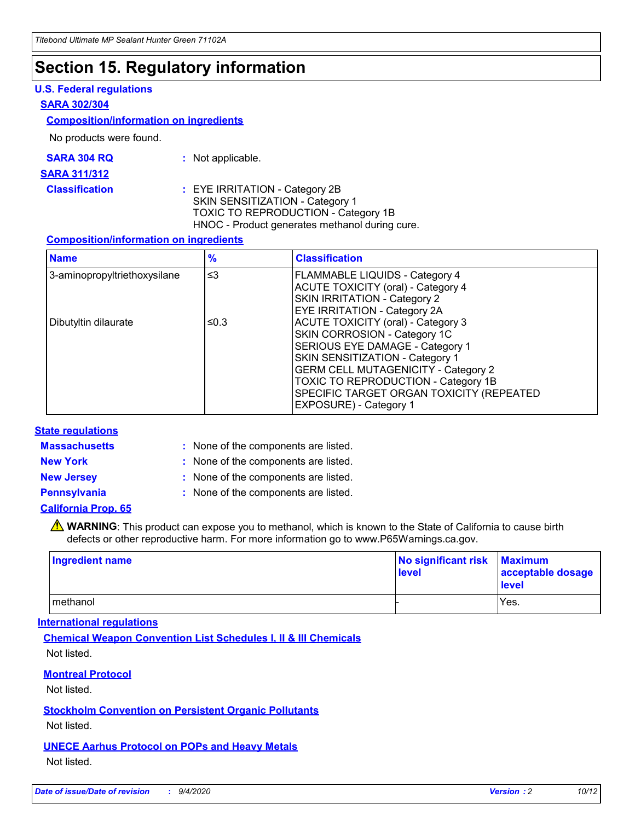### **Section 15. Regulatory information**

#### **U.S. Federal regulations**

#### **SARA 302/304**

#### **Composition/information on ingredients**

No products were found.

| SARA 304 RQ | Not applicable. |
|-------------|-----------------|
|-------------|-----------------|

#### **SARA 311/312**

#### **Classification :** EYE IRRITATION - Category 2B SKIN SENSITIZATION - Category 1 TOXIC TO REPRODUCTION - Category 1B HNOC - Product generates methanol during cure.

#### **Composition/information on ingredients**

| <b>Name</b>                  | $\frac{9}{6}$ | <b>Classification</b>                                                                                                                                                                                                                                                                                      |
|------------------------------|---------------|------------------------------------------------------------------------------------------------------------------------------------------------------------------------------------------------------------------------------------------------------------------------------------------------------------|
| 3-aminopropyltriethoxysilane | $\leq$ 3      | <b>FLAMMABLE LIQUIDS - Category 4</b><br><b>ACUTE TOXICITY (oral) - Category 4</b><br><b>SKIN IRRITATION - Category 2</b><br>EYE IRRITATION - Category 2A                                                                                                                                                  |
| Dibutyltin dilaurate         | ≤0.3          | <b>ACUTE TOXICITY (oral) - Category 3</b><br>SKIN CORROSION - Category 1C<br>SERIOUS EYE DAMAGE - Category 1<br>SKIN SENSITIZATION - Category 1<br><b>GERM CELL MUTAGENICITY - Category 2</b><br>TOXIC TO REPRODUCTION - Category 1B<br>SPECIFIC TARGET ORGAN TOXICITY (REPEATED<br>EXPOSURE) - Category 1 |

#### **State regulations**

**Massachusetts :**

: None of the components are listed.

**New York :** None of the components are listed.

**New Jersey :** None of the components are listed.

**Pennsylvania :** None of the components are listed.

#### **California Prop. 65**

WARNING: This product can expose you to methanol, which is known to the State of California to cause birth defects or other reproductive harm. For more information go to www.P65Warnings.ca.gov.

| Ingredient name | No significant risk<br>level | <b>Maximum</b><br>acceptable dosage<br>level |
|-----------------|------------------------------|----------------------------------------------|
| methanol        |                              | Yes.                                         |

#### **International regulations**

**Chemical Weapon Convention List Schedules I, II & III Chemicals** Not listed.

#### **Montreal Protocol**

Not listed.

**Stockholm Convention on Persistent Organic Pollutants**

Not listed.

#### **UNECE Aarhus Protocol on POPs and Heavy Metals** Not listed.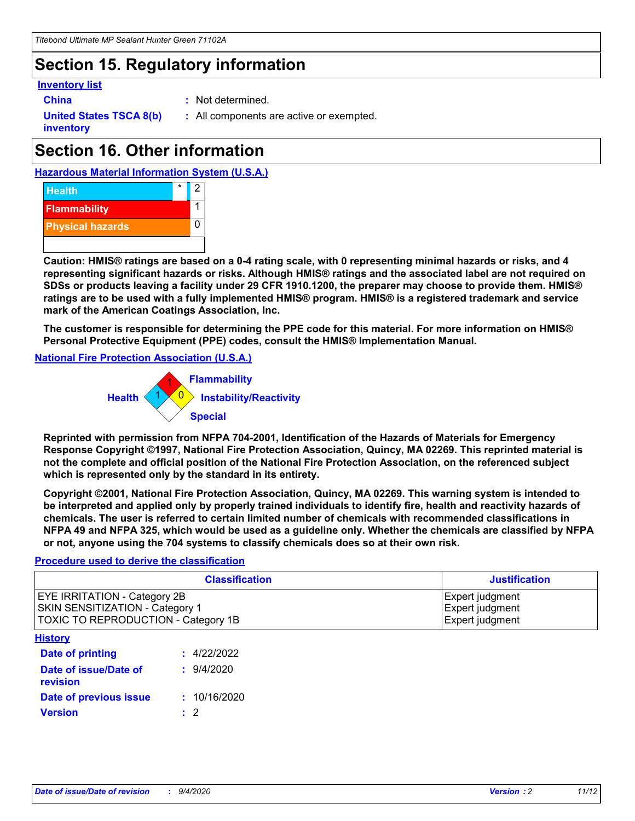## **Section 15. Regulatory information**

#### **Inventory list**

- 
- **China :** Not determined.

**United States TSCA 8(b) inventory**

**:** All components are active or exempted.

## **Section 16. Other information**

**Hazardous Material Information System (U.S.A.)**



**Caution: HMIS® ratings are based on a 0-4 rating scale, with 0 representing minimal hazards or risks, and 4 representing significant hazards or risks. Although HMIS® ratings and the associated label are not required on SDSs or products leaving a facility under 29 CFR 1910.1200, the preparer may choose to provide them. HMIS® ratings are to be used with a fully implemented HMIS® program. HMIS® is a registered trademark and service mark of the American Coatings Association, Inc.**

**The customer is responsible for determining the PPE code for this material. For more information on HMIS® Personal Protective Equipment (PPE) codes, consult the HMIS® Implementation Manual.**

**National Fire Protection Association (U.S.A.)**



**Reprinted with permission from NFPA 704-2001, Identification of the Hazards of Materials for Emergency Response Copyright ©1997, National Fire Protection Association, Quincy, MA 02269. This reprinted material is not the complete and official position of the National Fire Protection Association, on the referenced subject which is represented only by the standard in its entirety.**

**Copyright ©2001, National Fire Protection Association, Quincy, MA 02269. This warning system is intended to be interpreted and applied only by properly trained individuals to identify fire, health and reactivity hazards of chemicals. The user is referred to certain limited number of chemicals with recommended classifications in NFPA 49 and NFPA 325, which would be used as a guideline only. Whether the chemicals are classified by NFPA or not, anyone using the 704 systems to classify chemicals does so at their own risk.**

#### **Procedure used to derive the classification**

| <b>Classification</b>                                                                                         | <b>Justification</b>                                  |
|---------------------------------------------------------------------------------------------------------------|-------------------------------------------------------|
| <b>EYE IRRITATION - Category 2B</b><br>SKIN SENSITIZATION - Category 1<br>TOXIC TO REPRODUCTION - Category 1B | Expert judgment<br>Expert judgment<br>Expert judgment |
| <b>History</b>                                                                                                |                                                       |

| <u>.</u>                          |              |
|-----------------------------------|--------------|
| <b>Date of printing</b>           | : 4/22/2022  |
| Date of issue/Date of<br>revision | 9/4/2020     |
| Date of previous issue            | : 10/16/2020 |
| <b>Version</b>                    | $\cdot$ 2    |
|                                   |              |